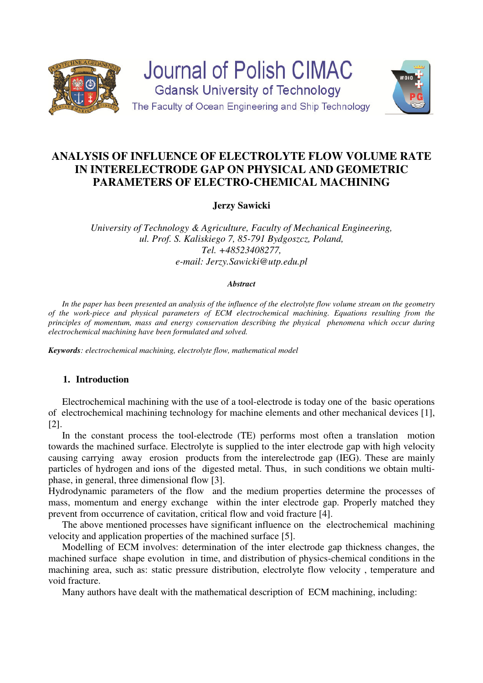



**Jerzy Sawicki** 

*University of Technology & Agriculture, Faculty of Mechanical Engineering, ul. Prof. S. Kaliskiego 7, 85-791 Bydgoszcz, Poland, Tel. +48523408277, e-mail: Jerzy.Sawicki@utp.edu.pl* 

### *Abstract*

 *In the paper has been presented an analysis of the influence of the electrolyte flow volume stream on the geometry of the work-piece and physical parameters of ECM electrochemical machining. Equations resulting from the principles of momentum, mass and energy conservation describing the physical phenomena which occur during electrochemical machining have been formulated and solved.* 

*Keywords: electrochemical machining, electrolyte flow, mathematical model* 

# **1. Introduction**

Electrochemical machining with the use of a tool-electrode is today one of the basic operations of electrochemical machining technology for machine elements and other mechanical devices [1], [2].

In the constant process the tool-electrode (TE) performs most often a translation motion towards the machined surface. Electrolyte is supplied to the inter electrode gap with high velocity causing carrying away erosion products from the interelectrode gap (IEG). These are mainly particles of hydrogen and ions of the digested metal. Thus, in such conditions we obtain multiphase, in general, three dimensional flow [3].

Hydrodynamic parameters of the flow and the medium properties determine the processes of mass, momentum and energy exchange within the inter electrode gap. Properly matched they prevent from occurrence of cavitation, critical flow and void fracture [4].

The above mentioned processes have significant influence on the electrochemical machining velocity and application properties of the machined surface [5].

Modelling of ECM involves: determination of the inter electrode gap thickness changes, the machined surface shape evolution in time, and distribution of physics-chemical conditions in the machining area, such as: static pressure distribution, electrolyte flow velocity , temperature and void fracture.

Many authors have dealt with the mathematical description of ECM machining, including: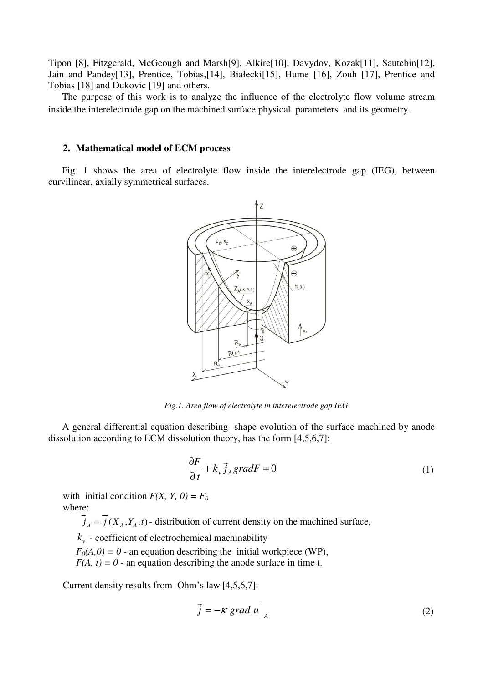Tipon [8], Fitzgerald, McGeough and Marsh[9], Alkire[10], Davydov, Kozak[11], Sautebin[12], Jain and Pandey[13], Prentice, Tobias,[14], Białecki[15], Hume [16], Zouh [17], Prentice and Tobias [18] and Dukovic [19] and others.

The purpose of this work is to analyze the influence of the electrolyte flow volume stream inside the interelectrode gap on the machined surface physical parameters and its geometry.

# **2. Mathematical model of ECM process**

Fig. 1 shows the area of electrolyte flow inside the interelectrode gap (IEG), between curvilinear, axially symmetrical surfaces.



*Fig.1. Area flow of electrolyte in interelectrode gap IEG* 

A general differential equation describing shape evolution of the surface machined by anode dissolution according to ECM dissolution theory, has the form [4,5,6,7]:

$$
\frac{\partial F}{\partial t} + k_{\nu} \vec{j}_A gradF = 0
$$
 (1)

with initial condition  $F(X, Y, 0) = F_0$ where:

 $j_A = j(X_A, Y_A, t)$  - distribution of current density on the machined surface,

*v k* - coefficient of electrochemical machinability

 $F<sub>0</sub>(A,0) = 0$  - an equation describing the initial workpiece (WP),

 $F(A, t) = 0$  - an equation describing the anode surface in time t.

Current density results from Ohm's law [4,5,6,7]:

$$
\vec{j} = -\kappa \text{ grad } u \big|_{A} \tag{2}
$$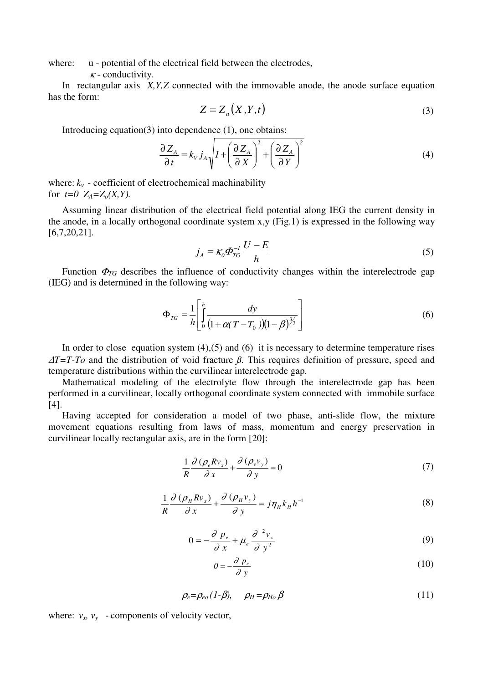where:  $u$  - potential of the electrical field between the electrodes,

 $\kappa$  - conductivity.

In rectangular axis *X,Y,Z* connected with the immovable anode, the anode surface equation has the form:

$$
Z = Z_a(X, Y, t) \tag{3}
$$

Introducing equation(3) into dependence  $(1)$ , one obtains:

$$
\frac{\partial Z_A}{\partial t} = k_V j_A \sqrt{1 + \left(\frac{\partial Z_A}{\partial X}\right)^2 + \left(\frac{\partial Z_A}{\partial Y}\right)^2}
$$
(4)

where:  $k_v$  - coefficient of electrochemical machinability for  $t=0$   $Z_A = Z_0(X, Y)$ .

Assuming linear distribution of the electrical field potential along IEG the current density in the anode, in a locally orthogonal coordinate system x,y (Fig.1) is expressed in the following way [6,7,20,21].

$$
j_A = \kappa_0 \Phi_{TG}^{-1} \frac{U - E}{h}
$$
 (5)

Function  $\Phi_{TG}$  describes the influence of conductivity changes within the interelectrode gap (IEG) and is determined in the following way:

$$
\Phi_{TG} = \frac{1}{h} \left[ \int_0^h \frac{dy}{(1 + \alpha(T - T_0))(1 - \beta)^{3/2}} \right]
$$
(6)

In order to close equation system  $(4)$ ,  $(5)$  and  $(6)$  it is necessary to determine temperature rises <sup>∆</sup>*T=T-To* and the distribution of void fracture *ß.* This requires definition of pressure, speed and temperature distributions within the curvilinear interelectrode gap.

Mathematical modeling of the electrolyte flow through the interelectrode gap has been performed in a curvilinear, locally orthogonal coordinate system connected with immobile surface [4].

Having accepted for consideration a model of two phase, anti-slide flow, the mixture movement equations resulting from laws of mass, momentum and energy preservation in curvilinear locally rectangular axis, are in the form [20]:

$$
\frac{1}{R}\frac{\partial\left(\rho_e R v_x\right)}{\partial x} + \frac{\partial\left(\rho_e v_y\right)}{\partial y} = 0\tag{7}
$$

$$
\frac{1}{R}\frac{\partial\left(\rho_{H}Rv_{x}\right)}{\partial x} + \frac{\partial\left(\rho_{H}v_{y}\right)}{\partial y} = j\eta_{H}k_{H}h^{-1}
$$
\n(8)

$$
0 = -\frac{\partial p_e}{\partial x} + \mu_e \frac{\partial^2 v_x}{\partial y^2}
$$
 (9)

$$
0 = -\frac{\partial p_e}{\partial y} \tag{10}
$$

$$
\rho_e = \rho_{eo} (1 - \beta), \qquad \rho_H = \rho_{Ho} \beta \tag{11}
$$

where:  $v_x$ ,  $v_y$  - components of velocity vector,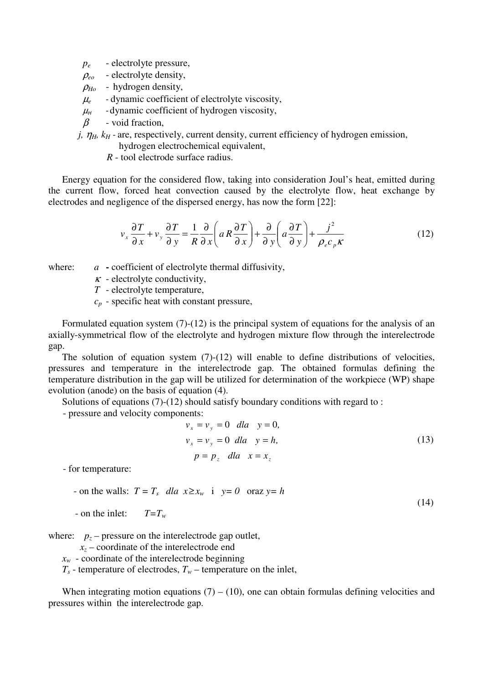*p<sup>e</sup>* - electrolyte pressure,

 $\rho_{eo}$  - electrolyte density,

 $\rho_{H_0}$  - hydrogen density,

 $\mu_e$  - dynamic coefficient of electrolyte viscosity,

 $\mu$  - dynamic coefficient of hydrogen viscosity,

β- void fraction,

*j,*  $\eta$ <sub>*H</sub>*,  $k$ <sup>*H*</sup> - are, respectively, current density, current efficiency of hydrogen emission,</sub>

hydrogen electrochemical equivalent,

*R* - tool electrode surface radius.

Energy equation for the considered flow, taking into consideration Joul's heat, emitted during the current flow, forced heat convection caused by the electrolyte flow, heat exchange by electrodes and negligence of the dispersed energy, has now the form [22]:

$$
v_x \frac{\partial T}{\partial x} + v_y \frac{\partial T}{\partial y} = \frac{1}{R} \frac{\partial}{\partial x} \left( a \frac{\partial T}{\partial x} \right) + \frac{\partial}{\partial y} \left( a \frac{\partial T}{\partial y} \right) + \frac{j^2}{\rho_e c_p \kappa}
$$
(12)

where: *a* - coefficient of electrolyte thermal diffusivity,

- $\kappa$  electrolyte conductivity,
- *T*  electrolyte temperature,
- $c_p$  specific heat with constant pressure,

Formulated equation system (7)-(12) is the principal system of equations for the analysis of an axially-symmetrical flow of the electrolyte and hydrogen mixture flow through the interelectrode gap.

The solution of equation system (7)-(12) will enable to define distributions of velocities, pressures and temperature in the interelectrode gap. The obtained formulas defining the temperature distribution in the gap will be utilized for determination of the workpiece (WP) shape evolution (anode) on the basis of equation (4).

Solutions of equations (7)-(12) should satisfy boundary conditions with regard to :

- pressure and velocity components:

$$
v_x = v_y = 0 \quad dla \quad y = 0,
$$
  
\n
$$
v_x = v_y = 0 \quad dla \quad y = h,
$$
  
\n
$$
p = p_z \quad dla \quad x = x_z
$$
\n(13)

(14)

- for temperature:

- on the walls:  $T = T_s$ *dla*  $x \ge x_w$  **i**  $y = 0$  oraz  $y = h$ 

- on the inlet: *T=T<sup>w</sup>*

where:  $p_z$  – pressure on the interelectrode gap outlet,

 $x<sub>z</sub>$  – coordinate of the interelectrode end

 $x_w$  - coordinate of the interelectrode beginning

 $T_s$  - temperature of electrodes,  $T_w$  – temperature on the inlet,

When integrating motion equations  $(7) - (10)$ , one can obtain formulas defining velocities and pressures within the interelectrode gap.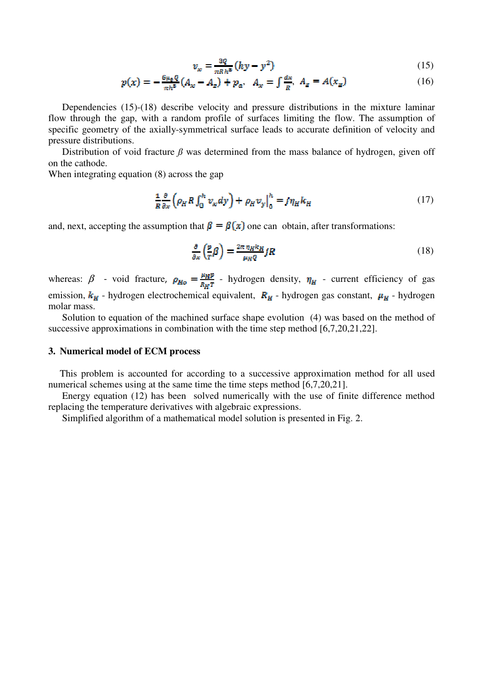$$
v_x = \frac{3Q}{\pi R_0 R_0} (hy - y^2)
$$
 (15)

$$
p(x) = -\frac{6\mu_{\rm B}Q}{\pi h^{\rm s}}(A_x - A_z) + p_a, \quad A_x = \int \frac{dx}{R}, \quad A_z = A(x_z) \tag{16}
$$

Dependencies (15)-(18) describe velocity and pressure distributions in the mixture laminar flow through the gap, with a random profile of surfaces limiting the flow. The assumption of specific geometry of the axially-symmetrical surface leads to accurate definition of velocity and pressure distributions.

Distribution of void fracture  $\beta$  was determined from the mass balance of hydrogen, given off on the cathode.

When integrating equation (8) across the gap

$$
\frac{1}{R}\frac{\partial}{\partial x}\left(\rho_H R \int_0^h v_x dy\right) + \rho_H v_y \Big|_0^h = j\eta_H k_H \tag{17}
$$

and, next, accepting the assumption that  $\beta = \beta(x)$  one can obtain, after transformations:

$$
\frac{\partial}{\partial x}\left(\frac{p}{T}\beta\right) = \frac{2\pi n_H k_H}{\mu_H q} jR\tag{18}
$$

whereas:  $\beta$  - void fracture,  $\rho_{H_0} = \frac{\mu_H p}{R_H T}$  - hydrogen density,  $\eta_H$  - current efficiency of gas emission,  $k_{H}$  - hydrogen electrochemical equivalent,  $R_{H}$  - hydrogen gas constant,  $\mu_{H}$  - hydrogen molar mass.

Solution to equation of the machined surface shape evolution (4) was based on the method of successive approximations in combination with the time step method [6,7,20,21,22].

### **3. Numerical model of ECM process**

This problem is accounted for according to a successive approximation method for all used numerical schemes using at the same time the time steps method [6,7,20,21].

 Energy equation (12) has been solved numerically with the use of finite difference method replacing the temperature derivatives with algebraic expressions.

Simplified algorithm of a mathematical model solution is presented in Fig. 2.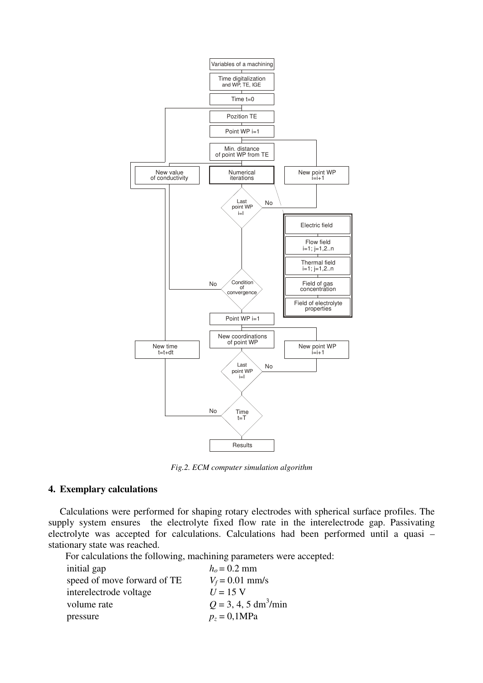

*Fig.2. ECM computer simulation algorithm* 

# **4. Exemplary calculations**

Calculations were performed for shaping rotary electrodes with spherical surface profiles. The supply system ensures the electrolyte fixed flow rate in the interelectrode gap. Passivating electrolyte was accepted for calculations. Calculations had been performed until a quasi – stationary state was reached.

For calculations the following, machining parameters were accepted:

| initial gap                 | $ho = 0.2$ mm                      |
|-----------------------------|------------------------------------|
| speed of move forward of TE | $V_f = 0.01$ mm/s                  |
| interelectrode voltage      | $U = 15$ V                         |
| volume rate                 | $Q = 3, 4, 5$ dm <sup>3</sup> /min |
| pressure                    | $p_z = 0,1 \text{MPa}$             |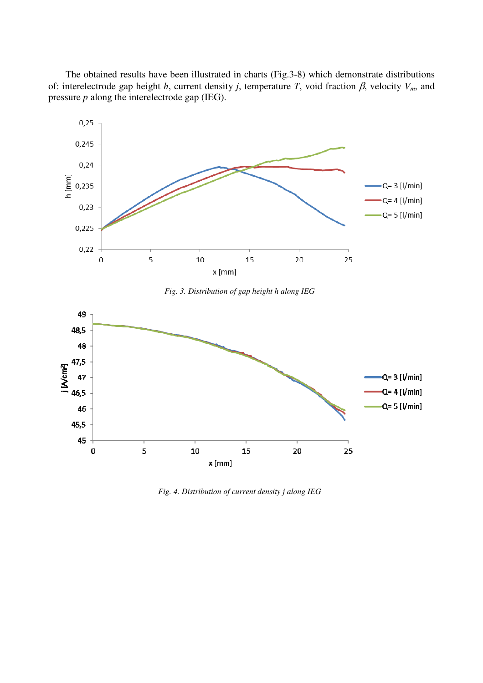The obtained results have been illustrated in charts (Fig.3-8) which demonstrate distributions of: interelectrode gap height *h*, current density *j*, temperature *T*, void fraction β, velocity *Vm*, and pressure *p* along the interelectrode gap (IEG).



*Fig. 3. Distribution of gap height h along IEG* 



*Fig. 4. Distribution of current density j along IEG*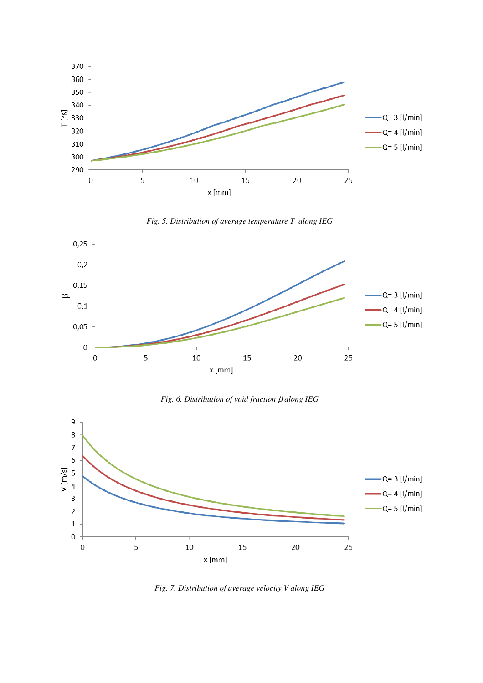





*Fig. 6. Distribution of void fraction* β *along IEG* 



*Fig. 7. Distribution of average velocity V along IEG*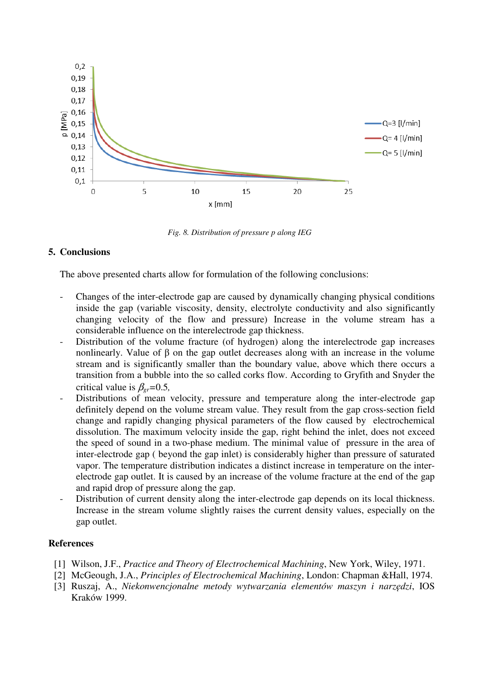

*Fig. 8. Distribution of pressure p along IEG* 

# **5. Conclusions**

The above presented charts allow for formulation of the following conclusions:

- Changes of the inter-electrode gap are caused by dynamically changing physical conditions inside the gap (variable viscosity, density, electrolyte conductivity and also significantly changing velocity of the flow and pressure) Increase in the volume stream has a considerable influence on the interelectrode gap thickness.
- Distribution of the volume fracture (of hydrogen) along the interelectrode gap increases nonlinearly. Value of  $\beta$  on the gap outlet decreases along with an increase in the volume stream and is significantly smaller than the boundary value, above which there occurs a transition from a bubble into the so called corks flow. According to Gryfith and Snyder the critical value is  $\beta_{\text{er}}=0.5$ ,
- Distributions of mean velocity, pressure and temperature along the inter-electrode gap definitely depend on the volume stream value. They result from the gap cross-section field change and rapidly changing physical parameters of the flow caused by electrochemical dissolution. The maximum velocity inside the gap, right behind the inlet, does not exceed the speed of sound in a two-phase medium. The minimal value of pressure in the area of inter-electrode gap ( beyond the gap inlet) is considerably higher than pressure of saturated vapor. The temperature distribution indicates a distinct increase in temperature on the interelectrode gap outlet. It is caused by an increase of the volume fracture at the end of the gap and rapid drop of pressure along the gap.
- Distribution of current density along the inter-electrode gap depends on its local thickness. Increase in the stream volume slightly raises the current density values, especially on the gap outlet.

### **References**

- [1] Wilson, J.F., *Practice and Theory of Electrochemical Machining*, New York, Wiley, 1971.
- [2] McGeough, J.A., *Principles of Electrochemical Machining*, London: Chapman &Hall, 1974.
- [3] Ruszaj, A., *Niekonwencjonalne metody wytwarzania elementów maszyn i narzędzi*, IOS Kraków 1999.